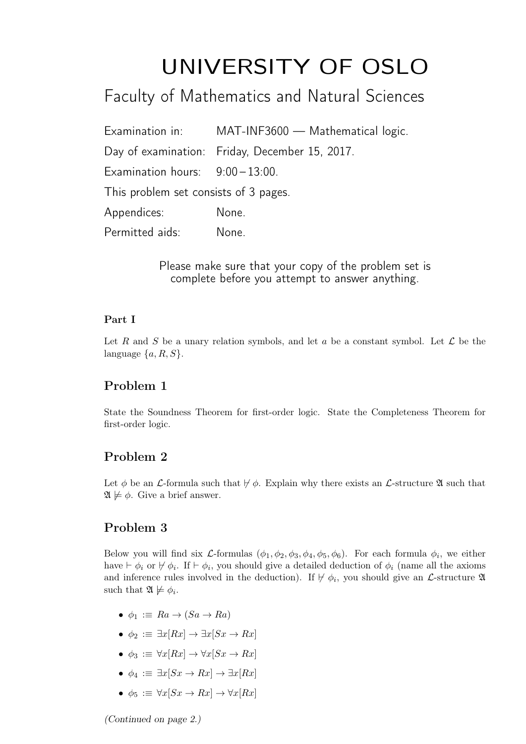# UNIVERSITY OF OSLO

# Faculty of Mathematics and Natural Sciences

Examination in: MAT-INF3600 — Mathematical logic. Day of examination: Friday, December 15, 2017. Examination hours:  $9:00-13:00$ . This problem set consists of 3 pages. Appendices: None. Permitted aids: None.

> Please make sure that your copy of the problem set is complete before you attempt to answer anything.

#### Part I

Let R and S be a unary relation symbols, and let a be a constant symbol. Let  $\mathcal L$  be the language  $\{a, R, S\}.$ 

# Problem 1

State the Soundness Theorem for first-order logic. State the Completeness Theorem for first-order logic.

# Problem 2

Let  $\phi$  be an *L*-formula such that  $\not\vdash \phi$ . Explain why there exists an *L*-structure  $\mathfrak{A}$  such that  $\mathfrak{A} \not\models \phi$ . Give a brief answer.

# Problem 3

Below you will find six *L*-formulas  $(\phi_1, \phi_2, \phi_3, \phi_4, \phi_5, \phi_6)$ . For each formula  $\phi_i$ , we either have  $\vdash \phi_i$  or  $\nvdash \phi_i$ . If  $\vdash \phi_i$ , you should give a detailed deduction of  $\phi_i$  (name all the axioms and inference rules involved in the deduction). If  $\nvdash \phi_i$ , you should give an *L*-structure 2 such that  $\mathfrak{A} \not\models \phi_i$ .

- $\phi_1 := Ra \rightarrow (Sa \rightarrow Ra)$
- $\phi_2 := \exists x [Rx] \rightarrow \exists x [Sx \rightarrow Rx]$
- $\phi_3 := \forall x [Rx] \rightarrow \forall x [Sx \rightarrow Rx]$
- $\phi_4 := \exists x [Sx \rightarrow Rx] \rightarrow \exists x [Rx]$
- $\phi_5 := \forall x[Sx \to Rx] \to \forall x[Rx]$

(Continued on page 2.)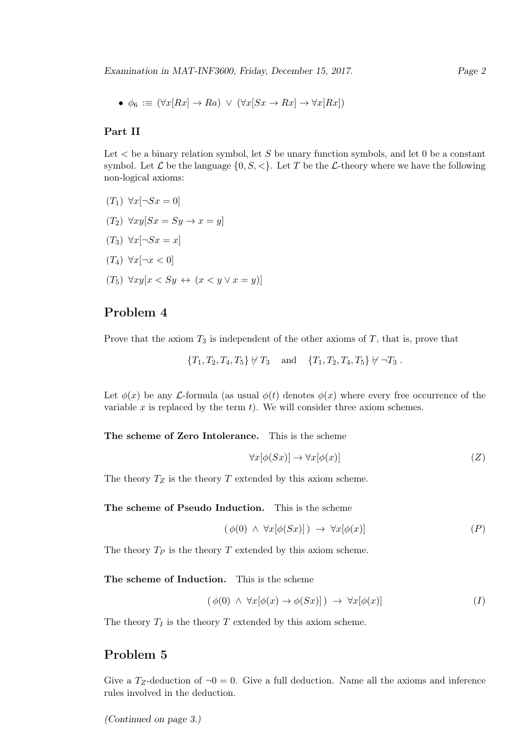•  $\phi_6 := (\forall x [Rx] \rightarrow Ra) \ \lor \ (\forall x [Sx \rightarrow Rx] \rightarrow \forall x [Rx])$ 

#### Part II

Let  $\lt$  be a binary relation symbol, let S be unary function symbols, and let 0 be a constant symbol. Let  $\mathcal L$  be the language  $\{0, S, \langle\}\)$ . Let T be the  $\mathcal L$ -theory where we have the following non-logical axioms:

- $(T_1) \ \forall x [\neg Sx = 0]$
- $(T_2) \ \forall xy[Sx = Sy \rightarrow x = y]$
- $(T_3) \ \forall x [\neg Sx = x]$
- $(T_4) \ \forall x [\neg x < 0]$
- $(T_5)$   $\forall xy[x \leq Sy \leftrightarrow (x \leq y \vee x = y)]$

#### Problem 4

Prove that the axiom  $T_3$  is independent of the other axioms of  $T$ , that is, prove that

 ${T_1, T_2, T_4, T_5} \not\vdash T_3$  and  ${T_1, T_2, T_4, T_5} \not\vdash \neg T_3$ .

Let  $\phi(x)$  be any *L*-formula (as usual  $\phi(t)$  denotes  $\phi(x)$  where every free occurrence of the variable  $x$  is replaced by the term  $t$ ). We will consider three axiom schemes.

The scheme of Zero Intolerance. This is the scheme

$$
\forall x[\phi(Sx)] \to \forall x[\phi(x)] \tag{Z}
$$

The theory  $T_Z$  is the theory T extended by this axiom scheme.

The scheme of Pseudo Induction. This is the scheme

$$
(\phi(0) \ \land \ \forall x[\phi(Sx)] ) \ \rightarrow \ \forall x[\phi(x)] \tag{P}
$$

The theory  $T_P$  is the theory  $T$  extended by this axiom scheme.

The scheme of Induction. This is the scheme

$$
(\phi(0) \land \forall x[\phi(x) \to \phi(Sx)]) \to \forall x[\phi(x)] \tag{I}
$$

The theory  $T_I$  is the theory  $T$  extended by this axiom scheme.

# Problem 5

Give a  $T_Z$ -deduction of  $\neg 0 = 0$ . Give a full deduction. Name all the axioms and inference rules involved in the deduction.

(Continued on page 3.)